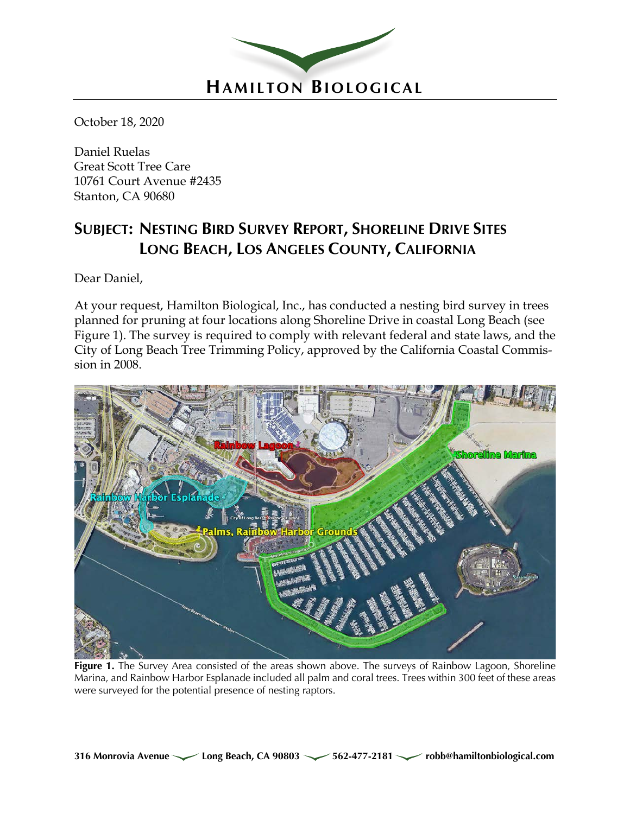

October 18, 2020

Daniel Ruelas Great Scott Tree Care 10761 Court Avenue #2435 Stanton, CA 90680

# **SUBJECT: NESTING BIRD SURVEY REPORT, SHORELINE DRIVE SITES LONG BEACH, LOS ANGELES COUNTY, CALIFORNIA**

Dear Daniel,

At your request, Hamilton Biological, Inc., has conducted a nesting bird survey in trees planned for pruning at four locations along Shoreline Drive in coastal Long Beach (see Figure 1). The survey is required to comply with relevant federal and state laws, and the City of Long Beach Tree Trimming Policy, approved by the California Coastal Commission in 2008.



**Figure 1.** The Survey Area consisted of the areas shown above. The surveys of Rainbow Lagoon, Shoreline Marina, and Rainbow Harbor Esplanade included all palm and coral trees. Trees within 300 feet of these areas were surveyed for the potential presence of nesting raptors.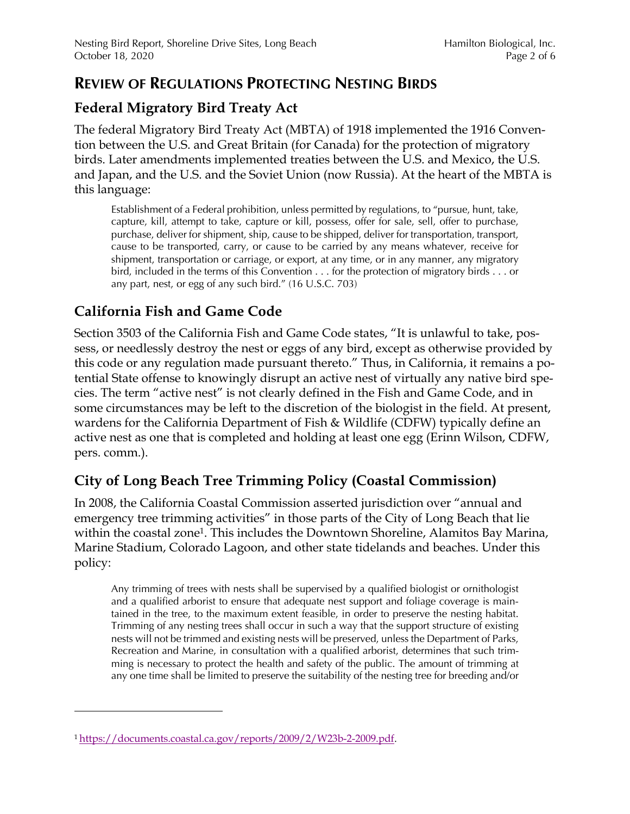#### **REVIEW OF REGULATIONS PROTECTING NESTING BIRDS**

#### **Federal Migratory Bird Treaty Act**

The federal Migratory Bird Treaty Act (MBTA) of 1918 implemented the 1916 Convention between the U.S. and Great Britain (for Canada) for the protection of migratory birds. Later amendments implemented treaties between the U.S. and Mexico, the U.S. and Japan, and the U.S. and the Soviet Union (now Russia). At the heart of the MBTA is this language:

Establishment of a Federal prohibition, unless permitted by regulations, to "pursue, hunt, take, capture, kill, attempt to take, capture or kill, possess, offer for sale, sell, offer to purchase, purchase, deliver for shipment, ship, cause to be shipped, deliver for transportation, transport, cause to be transported, carry, or cause to be carried by any means whatever, receive for shipment, transportation or carriage, or export, at any time, or in any manner, any migratory bird, included in the terms of this Convention . . . for the protection of migratory birds . . . or any part, nest, or egg of any such bird." (16 U.S.C. 703)

## **California Fish and Game Code**

Section 3503 of the California Fish and Game Code states, "It is unlawful to take, possess, or needlessly destroy the nest or eggs of any bird, except as otherwise provided by this code or any regulation made pursuant thereto." Thus, in California, it remains a potential State offense to knowingly disrupt an active nest of virtually any native bird species. The term "active nest" is not clearly defined in the Fish and Game Code, and in some circumstances may be left to the discretion of the biologist in the field. At present, wardens for the California Department of Fish & Wildlife (CDFW) typically define an active nest as one that is completed and holding at least one egg (Erinn Wilson, CDFW, pers. comm.).

#### **City of Long Beach Tree Trimming Policy (Coastal Commission)**

In 2008, the California Coastal Commission asserted jurisdiction over "annual and emergency tree trimming activities" in those parts of the City of Long Beach that lie within the coastal zone<sup>1</sup>. This includes the Downtown Shoreline, Alamitos Bay Marina, Marine Stadium, Colorado Lagoon, and other state tidelands and beaches. Under this policy:

Any trimming of trees with nests shall be supervised by a qualified biologist or ornithologist and a qualified arborist to ensure that adequate nest support and foliage coverage is maintained in the tree, to the maximum extent feasible, in order to preserve the nesting habitat. Trimming of any nesting trees shall occur in such a way that the support structure of existing nests will not be trimmed and existing nests will be preserved, unless the Department of Parks, Recreation and Marine, in consultation with a qualified arborist, determines that such trimming is necessary to protect the health and safety of the public. The amount of trimming at any one time shall be limited to preserve the suitability of the nesting tree for breeding and/or

<sup>1</sup> https://documents.coastal.ca.gov/reports/2009/2/W23b-2-2009.pdf.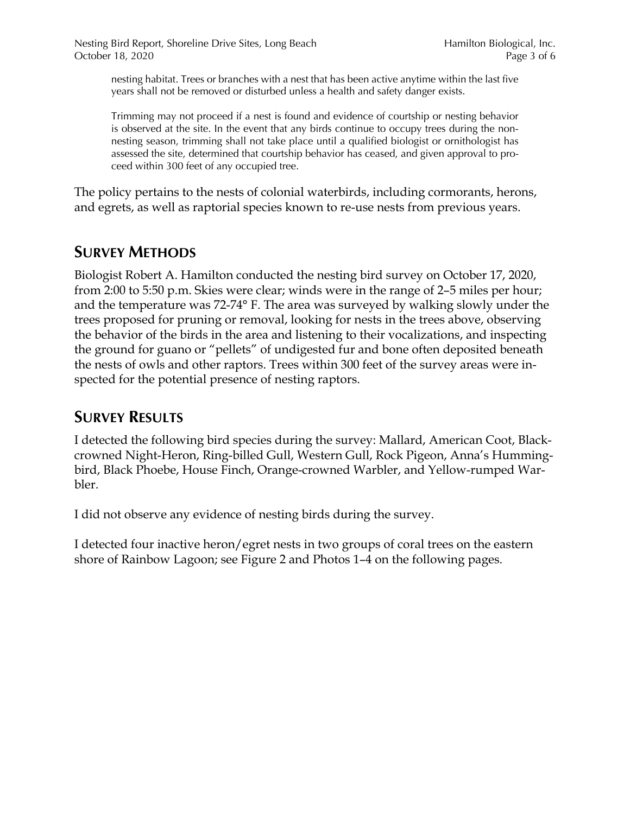nesting habitat. Trees or branches with a nest that has been active anytime within the last five years shall not be removed or disturbed unless a health and safety danger exists.

Trimming may not proceed if a nest is found and evidence of courtship or nesting behavior is observed at the site. In the event that any birds continue to occupy trees during the nonnesting season, trimming shall not take place until a qualified biologist or ornithologist has assessed the site, determined that courtship behavior has ceased, and given approval to proceed within 300 feet of any occupied tree.

The policy pertains to the nests of colonial waterbirds, including cormorants, herons, and egrets, as well as raptorial species known to re-use nests from previous years.

### **SURVEY METHODS**

Biologist Robert A. Hamilton conducted the nesting bird survey on October 17, 2020, from 2:00 to 5:50 p.m. Skies were clear; winds were in the range of 2–5 miles per hour; and the temperature was 72-74° F. The area was surveyed by walking slowly under the trees proposed for pruning or removal, looking for nests in the trees above, observing the behavior of the birds in the area and listening to their vocalizations, and inspecting the ground for guano or "pellets" of undigested fur and bone often deposited beneath the nests of owls and other raptors. Trees within 300 feet of the survey areas were inspected for the potential presence of nesting raptors.

## **SURVEY RESULTS**

I detected the following bird species during the survey: Mallard, American Coot, Blackcrowned Night-Heron, Ring-billed Gull, Western Gull, Rock Pigeon, Anna's Hummingbird, Black Phoebe, House Finch, Orange-crowned Warbler, and Yellow-rumped Warbler.

I did not observe any evidence of nesting birds during the survey.

I detected four inactive heron/egret nests in two groups of coral trees on the eastern shore of Rainbow Lagoon; see Figure 2 and Photos 1–4 on the following pages.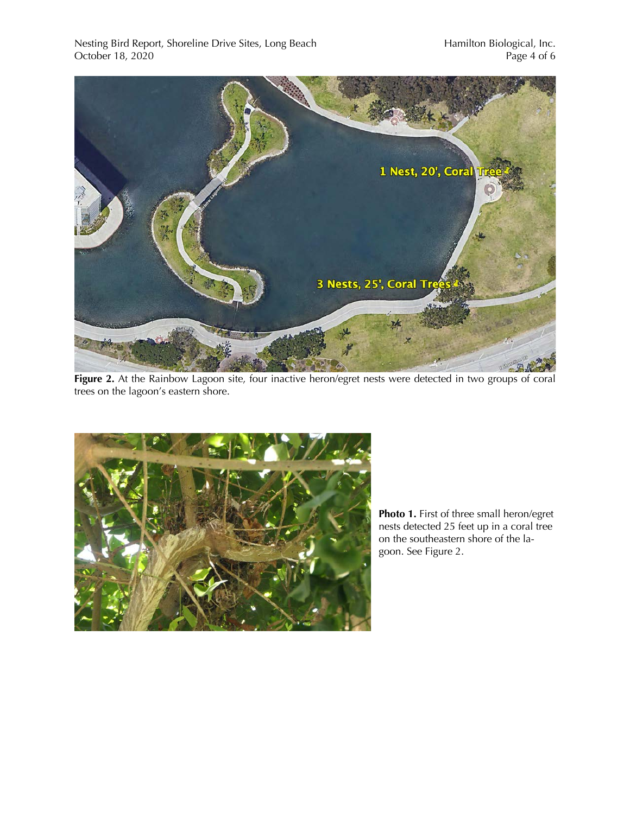

**Figure 2.** At the Rainbow Lagoon site, four inactive heron/egret nests were detected in two groups of coral trees on the lagoon's eastern shore.



**Photo 1.** First of three small heron/egret nests detected 25 feet up in a coral tree on the southeastern shore of the lagoon. See Figure 2.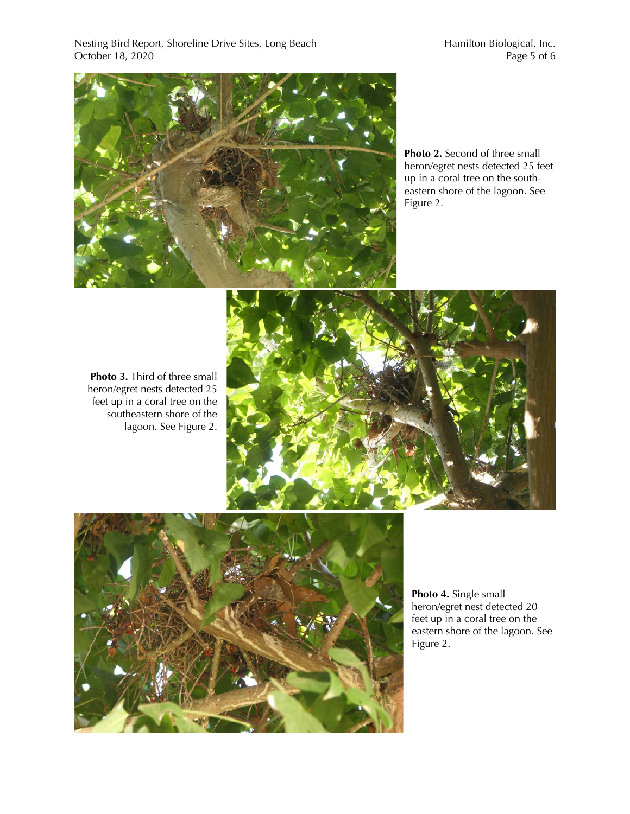Nesting Bird Report, Shoreline Drive Sites, Long Beach Hamilton Biological, Inc. October 18, 2020 Page 5 of 6



**Photo 2.** Second of three small heron/egret nests detected 25 feet up in a coral tree on the southeastern shore of the lagoon. See Figure 2.

**Photo 3.** Third of three small heron/egret nests detected 25 feet up in a coral tree on the southeastern shore of the lagoon. See Figure 2.





**Photo 4.** Single small heron/egret nest detected 20 feet up in a coral tree on the eastern shore of the lagoon. See Figure 2.